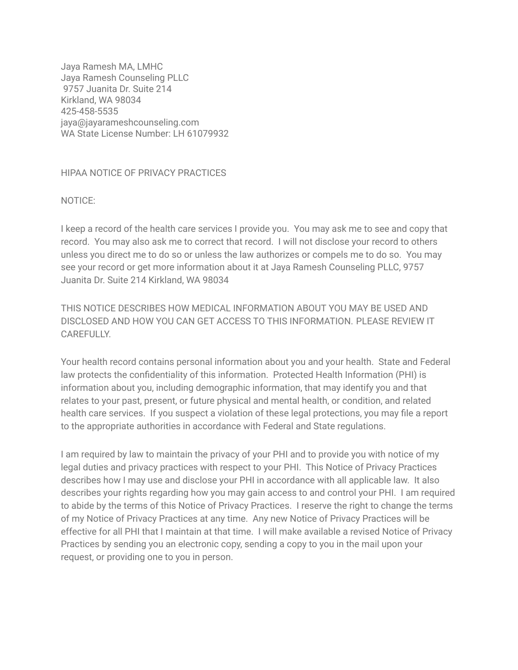Jaya Ramesh MA, LMHC Jaya Ramesh Counseling PLLC 9757 Juanita Dr. Suite 214 Kirkland, WA 98034 425-458-5535 jaya@jayarameshcounseling.com WA State License Number: LH 61079932

## HIPAA NOTICE OF PRIVACY PRACTICES

NOTICE:

I keep a record of the health care services I provide you. You may ask me to see and copy that record. You may also ask me to correct that record. I will not disclose your record to others unless you direct me to do so or unless the law authorizes or compels me to do so. You may see your record or get more information about it at Jaya Ramesh Counseling PLLC, 9757 Juanita Dr. Suite 214 Kirkland, WA 98034

THIS NOTICE DESCRIBES HOW MEDICAL INFORMATION ABOUT YOU MAY BE USED AND DISCLOSED AND HOW YOU CAN GET ACCESS TO THIS INFORMATION. PLEASE REVIEW IT CAREFULLY.

Your health record contains personal information about you and your health. State and Federal law protects the confidentiality of this information. Protected Health Information (PHI) is information about you, including demographic information, that may identify you and that relates to your past, present, or future physical and mental health, or condition, and related health care services. If you suspect a violation of these legal protections, you may file a report to the appropriate authorities in accordance with Federal and State regulations.

I am required by law to maintain the privacy of your PHI and to provide you with notice of my legal duties and privacy practices with respect to your PHI. This Notice of Privacy Practices describes how I may use and disclose your PHI in accordance with all applicable law. It also describes your rights regarding how you may gain access to and control your PHI. I am required to abide by the terms of this Notice of Privacy Practices. I reserve the right to change the terms of my Notice of Privacy Practices at any time. Any new Notice of Privacy Practices will be effective for all PHI that I maintain at that time. I will make available a revised Notice of Privacy Practices by sending you an electronic copy, sending a copy to you in the mail upon your request, or providing one to you in person.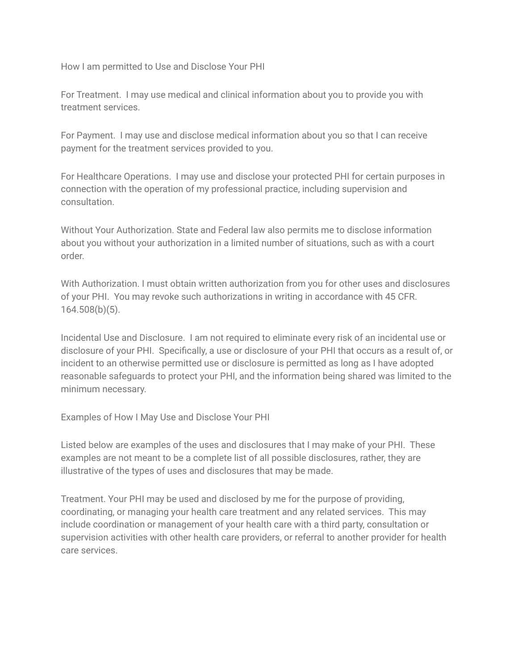How I am permitted to Use and Disclose Your PHI

For Treatment. I may use medical and clinical information about you to provide you with treatment services.

For Payment. I may use and disclose medical information about you so that I can receive payment for the treatment services provided to you.

For Healthcare Operations. I may use and disclose your protected PHI for certain purposes in connection with the operation of my professional practice, including supervision and consultation.

Without Your Authorization. State and Federal law also permits me to disclose information about you without your authorization in a limited number of situations, such as with a court order.

With Authorization. I must obtain written authorization from you for other uses and disclosures of your PHI. You may revoke such authorizations in writing in accordance with 45 CFR. 164.508(b)(5).

Incidental Use and Disclosure. I am not required to eliminate every risk of an incidental use or disclosure of your PHI. Specifically, a use or disclosure of your PHI that occurs as a result of, or incident to an otherwise permitted use or disclosure is permitted as long as I have adopted reasonable safeguards to protect your PHI, and the information being shared was limited to the minimum necessary.

Examples of How I May Use and Disclose Your PHI

Listed below are examples of the uses and disclosures that I may make of your PHI. These examples are not meant to be a complete list of all possible disclosures, rather, they are illustrative of the types of uses and disclosures that may be made.

Treatment. Your PHI may be used and disclosed by me for the purpose of providing, coordinating, or managing your health care treatment and any related services. This may include coordination or management of your health care with a third party, consultation or supervision activities with other health care providers, or referral to another provider for health care services.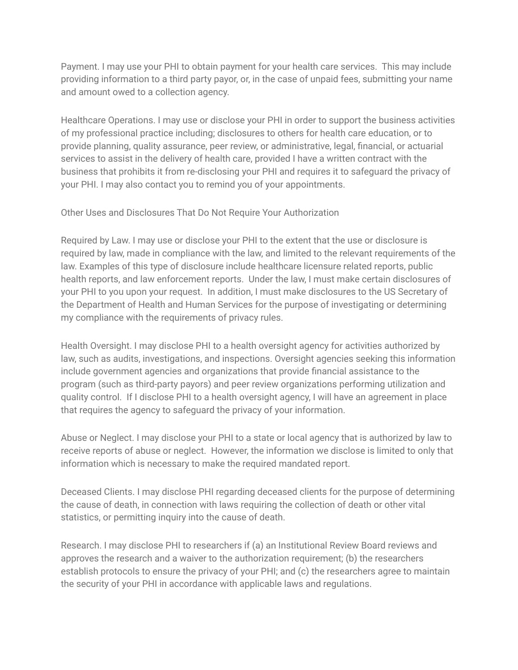Payment. I may use your PHI to obtain payment for your health care services. This may include providing information to a third party payor, or, in the case of unpaid fees, submitting your name and amount owed to a collection agency.

Healthcare Operations. I may use or disclose your PHI in order to support the business activities of my professional practice including; disclosures to others for health care education, or to provide planning, quality assurance, peer review, or administrative, legal, financial, or actuarial services to assist in the delivery of health care, provided I have a written contract with the business that prohibits it from re-disclosing your PHI and requires it to safeguard the privacy of your PHI. I may also contact you to remind you of your appointments.

Other Uses and Disclosures That Do Not Require Your Authorization

Required by Law. I may use or disclose your PHI to the extent that the use or disclosure is required by law, made in compliance with the law, and limited to the relevant requirements of the law. Examples of this type of disclosure include healthcare licensure related reports, public health reports, and law enforcement reports. Under the law, I must make certain disclosures of your PHI to you upon your request. In addition, I must make disclosures to the US Secretary of the Department of Health and Human Services for the purpose of investigating or determining my compliance with the requirements of privacy rules.

Health Oversight. I may disclose PHI to a health oversight agency for activities authorized by law, such as audits, investigations, and inspections. Oversight agencies seeking this information include government agencies and organizations that provide financial assistance to the program (such as third-party payors) and peer review organizations performing utilization and quality control. If I disclose PHI to a health oversight agency, I will have an agreement in place that requires the agency to safeguard the privacy of your information.

Abuse or Neglect. I may disclose your PHI to a state or local agency that is authorized by law to receive reports of abuse or neglect. However, the information we disclose is limited to only that information which is necessary to make the required mandated report.

Deceased Clients. I may disclose PHI regarding deceased clients for the purpose of determining the cause of death, in connection with laws requiring the collection of death or other vital statistics, or permitting inquiry into the cause of death.

Research. I may disclose PHI to researchers if (a) an Institutional Review Board reviews and approves the research and a waiver to the authorization requirement; (b) the researchers establish protocols to ensure the privacy of your PHI; and (c) the researchers agree to maintain the security of your PHI in accordance with applicable laws and regulations.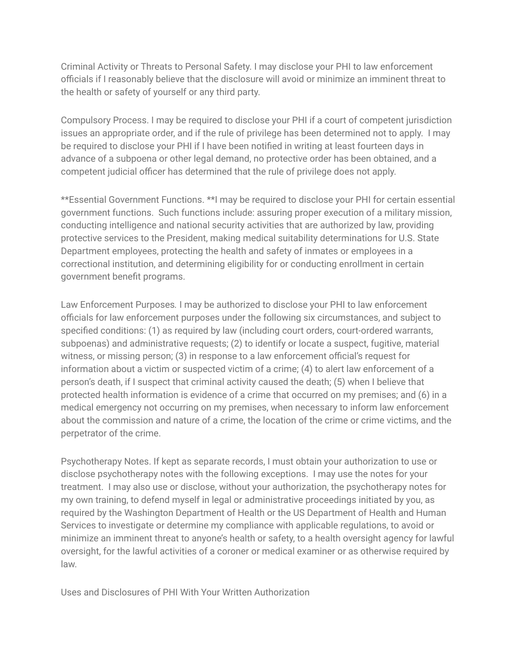Criminal Activity or Threats to Personal Safety. I may disclose your PHI to law enforcement officials if I reasonably believe that the disclosure will avoid or minimize an imminent threat to the health or safety of yourself or any third party.

Compulsory Process. I may be required to disclose your PHI if a court of competent jurisdiction issues an appropriate order, and if the rule of privilege has been determined not to apply. I may be required to disclose your PHI if I have been notified in writing at least fourteen days in advance of a subpoena or other legal demand, no protective order has been obtained, and a competent judicial officer has determined that the rule of privilege does not apply.

\*\*Essential Government Functions. \*\*I may be required to disclose your PHI for certain essential government functions. Such functions include: assuring proper execution of a military mission, conducting intelligence and national security activities that are authorized by law, providing protective services to the President, making medical suitability determinations for U.S. State Department employees, protecting the health and safety of inmates or employees in a correctional institution, and determining eligibility for or conducting enrollment in certain government benefit programs.

Law Enforcement Purposes*.* I may be authorized to disclose your PHI to law enforcement officials for law enforcement purposes under the following six circumstances, and subject to specified conditions: (1) as required by law (including court orders, court-ordered warrants, subpoenas) and administrative requests; (2) to identify or locate a suspect, fugitive, material witness, or missing person; (3) in response to a law enforcement official's request for information about a victim or suspected victim of a crime; (4) to alert law enforcement of a person's death, if I suspect that criminal activity caused the death; (5) when I believe that protected health information is evidence of a crime that occurred on my premises; and (6) in a medical emergency not occurring on my premises, when necessary to inform law enforcement about the commission and nature of a crime, the location of the crime or crime victims, and the perpetrator of the crime.

Psychotherapy Notes. If kept as separate records, I must obtain your authorization to use or disclose psychotherapy notes with the following exceptions. I may use the notes for your treatment. I may also use or disclose, without your authorization, the psychotherapy notes for my own training, to defend myself in legal or administrative proceedings initiated by you, as required by the Washington Department of Health or the US Department of Health and Human Services to investigate or determine my compliance with applicable regulations, to avoid or minimize an imminent threat to anyone's health or safety, to a health oversight agency for lawful oversight, for the lawful activities of a coroner or medical examiner or as otherwise required by law.

Uses and Disclosures of PHI With Your Written Authorization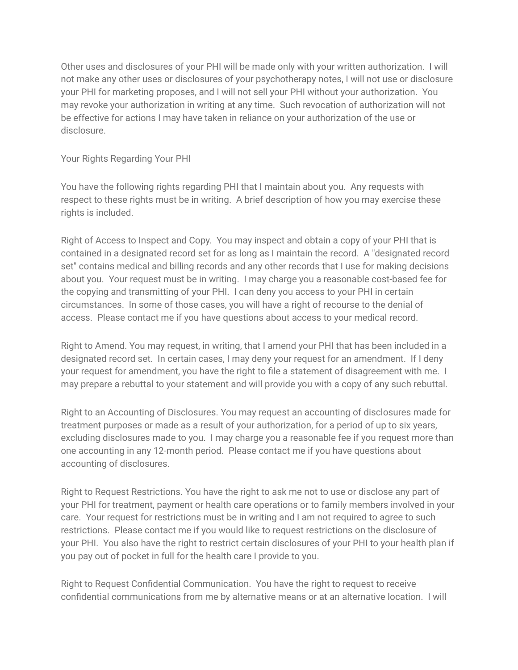Other uses and disclosures of your PHI will be made only with your written authorization. I will not make any other uses or disclosures of your psychotherapy notes, I will not use or disclosure your PHI for marketing proposes, and I will not sell your PHI without your authorization. You may revoke your authorization in writing at any time. Such revocation of authorization will not be effective for actions I may have taken in reliance on your authorization of the use or disclosure.

## Your Rights Regarding Your PHI

You have the following rights regarding PHI that I maintain about you. Any requests with respect to these rights must be in writing. A brief description of how you may exercise these rights is included.

Right of Access to Inspect and Copy. You may inspect and obtain a copy of your PHI that is contained in a designated record set for as long as I maintain the record. A "designated record set" contains medical and billing records and any other records that I use for making decisions about you. Your request must be in writing. I may charge you a reasonable cost-based fee for the copying and transmitting of your PHI. I can deny you access to your PHI in certain circumstances. In some of those cases, you will have a right of recourse to the denial of access. Please contact me if you have questions about access to your medical record.

Right to Amend. You may request, in writing, that I amend your PHI that has been included in a designated record set. In certain cases, I may deny your request for an amendment. If I deny your request for amendment, you have the right to file a statement of disagreement with me. I may prepare a rebuttal to your statement and will provide you with a copy of any such rebuttal.

Right to an Accounting of Disclosures. You may request an accounting of disclosures made for treatment purposes or made as a result of your authorization, for a period of up to six years, excluding disclosures made to you. I may charge you a reasonable fee if you request more than one accounting in any 12-month period. Please contact me if you have questions about accounting of disclosures.

Right to Request Restrictions. You have the right to ask me not to use or disclose any part of your PHI for treatment, payment or health care operations or to family members involved in your care. Your request for restrictions must be in writing and I am not required to agree to such restrictions. Please contact me if you would like to request restrictions on the disclosure of your PHI. You also have the right to restrict certain disclosures of your PHI to your health plan if you pay out of pocket in full for the health care I provide to you.

Right to Request Confidential Communication. You have the right to request to receive confidential communications from me by alternative means or at an alternative location. I will